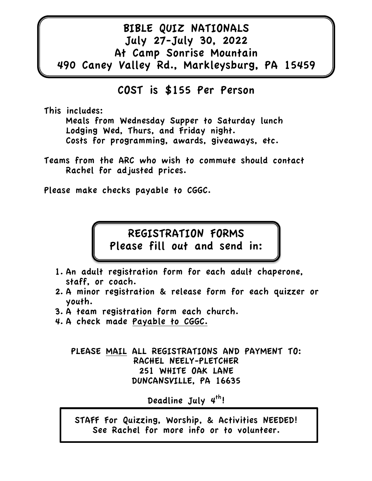## BIBLE QUIZ NATIONALS July 27-July 30, 2022 At Camp Sonrise Mountain 490 Caney Valley Rd., Markleysburg, PA 15459

### COST is \$155 Per Person

This includes:

Meals from Wednesday Supper to Saturday lunch Lodging Wed, Thurs, and Friday night. Costs for programming, awards, giveaways, etc.

Teams from the ARC who wish to commute should contact Rachel for adjusted prices.

Please make checks payable to CGGC.

# REGISTRATION FORMS Please fill out and send in:

- 1. An adult registration form for each adult chaperone, staff, or coach.
- 2. A minor registration & release form for each quizzer or youth.
- 3. A team registration form each church.
- 4. A check made Payable to CGGC.

PLEASE MAIL ALL REGISTRATIONS AND PAYMENT TO: RACHEL NEELY-PLETCHER 251 WHITE OAK LANE DUNCANSVILLE, PA 16635

Deadline July  $4^{th}!$ 

STAFF For Quizzing, Worship, & Activities NEEDED! See Rachel for more info or to volunteer.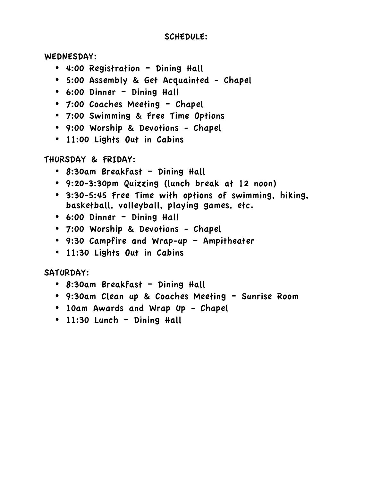#### SCHEDULE:

WEDNESDAY:

- 4:00 Registration Dining Hall
- 5:00 Assembly & Get Acquainted Chapel
- 6:00 Dinner Dining Hall
- 7:00 Coaches Meeting Chapel
- 7:00 Swimming & Free Time Options
- 9:00 Worship & Devotions Chapel
- 11:00 Lights Out in Cabins

THURSDAY & FRIDAY:

- 8:30am Breakfast Dining Hall
- 9:20-3:30pm Quizzing (lunch break at 12 noon)
- 3:30-5:45 Free Time with options of swimming, hiking, basketball, volleyball, playing games, etc.
- 6:00 Dinner Dining Hall
- 7:00 Worship & Devotions Chapel
- 9:30 Campfire and Wrap-up Ampitheater
- 11:30 Lights Out in Cabins

SATURDAY:

- 8:30am Breakfast Dining Hall
- 9:30am Clean up & Coaches Meeting Sunrise Room
- 10am Awards and Wrap Up Chapel
- 11:30 Lunch Dining Hall